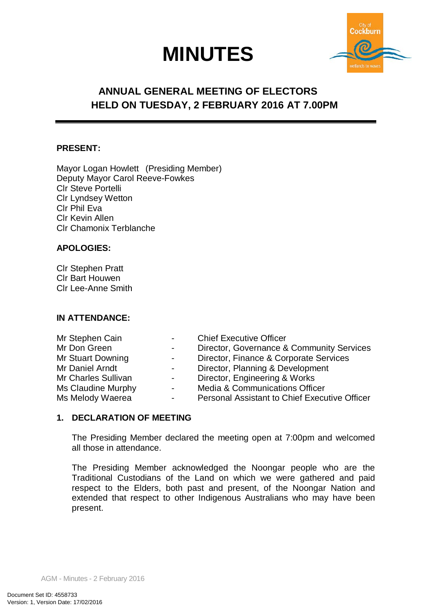# **MINUTES**



## **ANNUAL GENERAL MEETING OF ELECTORS HELD ON TUESDAY, 2 FEBRUARY 2016 AT 7.00PM**

## **PRESENT:**

Mayor Logan Howlett (Presiding Member) Deputy Mayor Carol Reeve-Fowkes Clr Steve Portelli Clr Lyndsey Wetton Clr Phil Eva Clr Kevin Allen Clr Chamonix Terblanche

## **APOLOGIES:**

Clr Stephen Pratt Clr Bart Houwen Clr Lee-Anne Smith

## **IN ATTENDANCE:**

| Mr Stephen Cain     | $\sim$ 100 $\mu$ | <b>Chief Executive Officer</b>                       |
|---------------------|------------------|------------------------------------------------------|
| Mr Don Green        | $\sim$ 100 $\mu$ | Director, Governance & Community Services            |
| Mr Stuart Downing   | $\sim 100$       | Director, Finance & Corporate Services               |
| Mr Daniel Arndt     | $\sim$ 100 $\mu$ | Director, Planning & Development                     |
| Mr Charles Sullivan | -                | Director, Engineering & Works                        |
| Ms Claudine Murphy  | $\sim$           | <b>Media &amp; Communications Officer</b>            |
| Ms Melody Waerea    | $\sim$           | <b>Personal Assistant to Chief Executive Officer</b> |

## **1. DECLARATION OF MEETING**

The Presiding Member declared the meeting open at 7:00pm and welcomed all those in attendance.

The Presiding Member acknowledged the Noongar people who are the Traditional Custodians of the Land on which we were gathered and paid respect to the Elders, both past and present, of the Noongar Nation and extended that respect to other Indigenous Australians who may have been present.

AGM - Minutes - 2 February 2016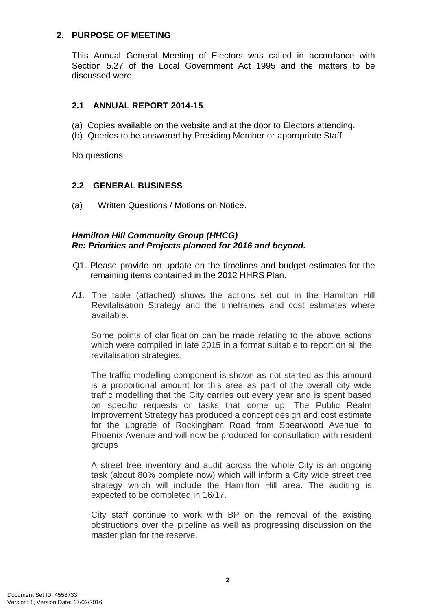## **2. PURPOSE OF MEETING**

This Annual General Meeting of Electors was called in accordance with Section 5.27 of the Local Government Act 1995 and the matters to be discussed were:

## **2.1 ANNUAL REPORT 2014-15**

- (a) Copies available on the website and at the door to Electors attending.
- (b) Queries to be answered by Presiding Member or appropriate Staff.

No questions.

## **2.2 GENERAL BUSINESS**

(a) Written Questions / Motions on Notice.

## *Hamilton Hill Community Group (HHCG) Re: Priorities and Projects planned for 2016 and beyond.*

- Q1. Please provide an update on the timelines and budget estimates for the remaining items contained in the 2012 HHRS Plan.
- *A1.* The table (attached) shows the actions set out in the Hamilton Hill Revitalisation Strategy and the timeframes and cost estimates where available.

Some points of clarification can be made relating to the above actions which were compiled in late 2015 in a format suitable to report on all the revitalisation strategies.

The traffic modelling component is shown as not started as this amount is a proportional amount for this area as part of the overall city wide traffic modelling that the City carries out every year and is spent based on specific requests or tasks that come up. The Public Realm Improvement Strategy has produced a concept design and cost estimate for the upgrade of Rockingham Road from Spearwood Avenue to Phoenix Avenue and will now be produced for consultation with resident groups

A street tree inventory and audit across the whole City is an ongoing task (about 80% complete now) which will inform a City wide street tree strategy which will include the Hamilton Hill area. The auditing is expected to be completed in 16/17.

City staff continue to work with BP on the removal of the existing obstructions over the pipeline as well as progressing discussion on the master plan for the reserve.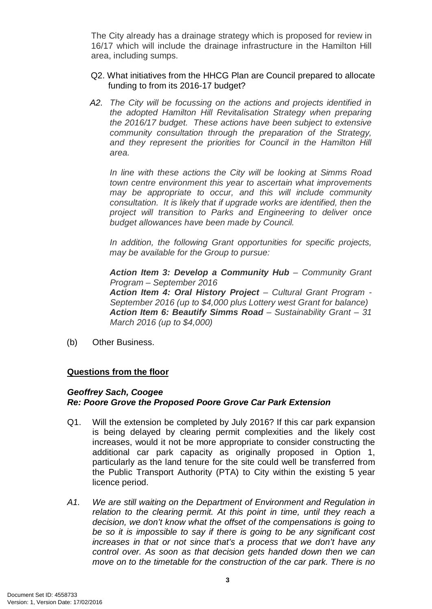The City already has a drainage strategy which is proposed for review in 16/17 which will include the drainage infrastructure in the Hamilton Hill area, including sumps.

- Q2. What initiatives from the HHCG Plan are Council prepared to allocate funding to from its 2016-17 budget?
- *A2. The City will be focussing on the actions and projects identified in the adopted Hamilton Hill Revitalisation Strategy when preparing the 2016/17 budget. These actions have been subject to extensive community consultation through the preparation of the Strategy,*  and they represent the priorities for Council in the Hamilton Hill *area.*

*In line with these actions the City will be looking at Simms Road town centre environment this year to ascertain what improvements may be appropriate to occur, and this will include community consultation. It is likely that if upgrade works are identified, then the project will transition to Parks and Engineering to deliver once budget allowances have been made by Council.*

*In addition, the following Grant opportunities for specific projects, may be available for the Group to pursue:*

*Action Item 3: Develop a Community Hub – Community Grant Program – September 2016*

*Action Item 4: Oral History Project – Cultural Grant Program - September 2016 (up to \$4,000 plus Lottery west Grant for balance) Action Item 6: Beautify Simms Road – Sustainability Grant – 31 March 2016 (up to \$4,000)*

(b) Other Business.

## **Questions from the floor**

## *Geoffrey Sach, Coogee*

## *Re: Poore Grove the Proposed Poore Grove Car Park Extension*

- Q1. Will the extension be completed by July 2016? If this car park expansion is being delayed by clearing permit complexities and the likely cost increases, would it not be more appropriate to consider constructing the additional car park capacity as originally proposed in Option 1, particularly as the land tenure for the site could well be transferred from the Public Transport Authority (PTA) to City within the existing 5 year licence period.
- *A1. We are still waiting on the Department of Environment and Regulation in relation to the clearing permit. At this point in time, until they reach a decision, we don't know what the offset of the compensations is going to be so it is impossible to say if there is going to be any significant cost increases in that or not since that's a process that we don't have any control over. As soon as that decision gets handed down then we can move on to the timetable for the construction of the car park. There is no*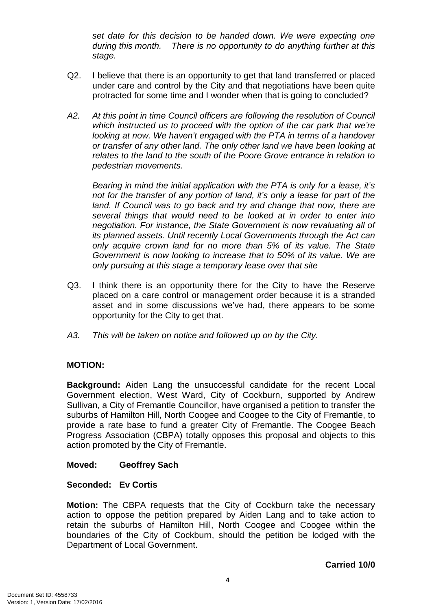*set date for this decision to be handed down. We were expecting one during this month. There is no opportunity to do anything further at this stage.*

- Q2. I believe that there is an opportunity to get that land transferred or placed under care and control by the City and that negotiations have been quite protracted for some time and I wonder when that is going to concluded?
- *A2. At this point in time Council officers are following the resolution of Council which instructed us to proceed with the option of the car park that we're looking at now. We haven't engaged with the PTA in terms of a handover or transfer of any other land. The only other land we have been looking at relates to the land to the south of the Poore Grove entrance in relation to pedestrian movements.*

*Bearing in mind the initial application with the PTA is only for a lease, it's not for the transfer of any portion of land, it's only a lease for part of the*  land. If Council was to go back and try and change that now, there are *several things that would need to be looked at in order to enter into negotiation. For instance, the State Government is now revaluating all of its planned assets. Until recently Local Governments through the Act can only acquire crown land for no more than 5% of its value. The State Government is now looking to increase that to 50% of its value. We are only pursuing at this stage a temporary lease over that site*

- Q3. I think there is an opportunity there for the City to have the Reserve placed on a care control or management order because it is a stranded asset and in some discussions we've had, there appears to be some opportunity for the City to get that.
- *A3. This will be taken on notice and followed up on by the City.*

## **MOTION:**

**Background:** Aiden Lang the unsuccessful candidate for the recent Local Government election, West Ward, City of Cockburn, supported by Andrew Sullivan, a City of Fremantle Councillor, have organised a petition to transfer the suburbs of Hamilton Hill, North Coogee and Coogee to the City of Fremantle, to provide a rate base to fund a greater City of Fremantle. The Coogee Beach Progress Association (CBPA) totally opposes this proposal and objects to this action promoted by the City of Fremantle.

## **Moved: Geoffrey Sach**

## **Seconded: Ev Cortis**

**Motion:** The CBPA requests that the City of Cockburn take the necessary action to oppose the petition prepared by Aiden Lang and to take action to retain the suburbs of Hamilton Hill, North Coogee and Coogee within the boundaries of the City of Cockburn, should the petition be lodged with the Department of Local Government.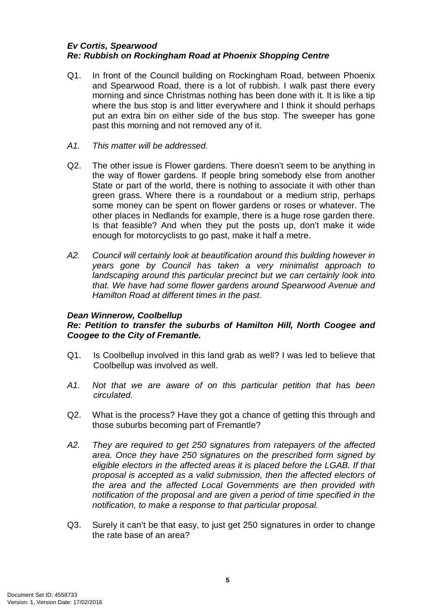## *Ev Cortis, Spearwood Re: Rubbish on Rockingham Road at Phoenix Shopping Centre*

- Q1. In front of the Council building on Rockingham Road, between Phoenix and Spearwood Road, there is a lot of rubbish. I walk past there every morning and since Christmas nothing has been done with it. It is like a tip where the bus stop is and litter everywhere and I think it should perhaps put an extra bin on either side of the bus stop. The sweeper has gone past this morning and not removed any of it.
- *A1. This matter will be addressed.*
- Q2. The other issue is Flower gardens. There doesn't seem to be anything in the way of flower gardens. If people bring somebody else from another State or part of the world, there is nothing to associate it with other than green grass. Where there is a roundabout or a medium strip, perhaps some money can be spent on flower gardens or roses or whatever. The other places in Nedlands for example, there is a huge rose garden there. Is that feasible? And when they put the posts up, don't make it wide enough for motorcyclists to go past, make it half a metre.
- *A2. Council will certainly look at beautification around this building however in years gone by Council has taken a very minimalist approach to landscaping around this particular precinct but we can certainly look into that. We have had some flower gardens around Spearwood Avenue and Hamilton Road at different times in the past.*

## *Dean Winnerow, Coolbellup*

## *Re: Petition to transfer the suburbs of Hamilton Hill, North Coogee and Coogee to the City of Fremantle.*

- Q1. Is Coolbellup involved in this land grab as well? I was led to believe that Coolbellup was involved as well.
- *A1. Not that we are aware of on this particular petition that has been circulated.*
- Q2. What is the process? Have they got a chance of getting this through and those suburbs becoming part of Fremantle?
- *A2. They are required to get 250 signatures from ratepayers of the affected area. Once they have 250 signatures on the prescribed form signed by eligible electors in the affected areas it is placed before the LGAB. If that proposal is accepted as a valid submission, then the affected electors of the area and the affected Local Governments are then provided with notification of the proposal and are given a period of time specified in the notification, to make a response to that particular proposal.*
- Q3. Surely it can't be that easy, to just get 250 signatures in order to change the rate base of an area?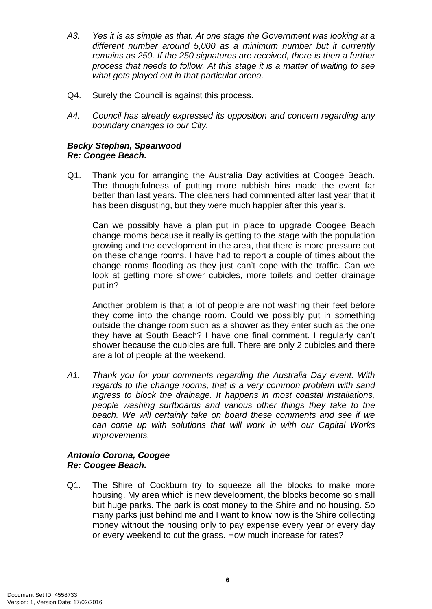- *A3. Yes it is as simple as that. At one stage the Government was looking at a different number around 5,000 as a minimum number but it currently remains as 250. If the 250 signatures are received, there is then a further process that needs to follow. At this stage it is a matter of waiting to see what gets played out in that particular arena.*
- Q4. Surely the Council is against this process.
- *A4. Council has already expressed its opposition and concern regarding any boundary changes to our City.*

## *Becky Stephen, Spearwood Re: Coogee Beach.*

Q1. Thank you for arranging the Australia Day activities at Coogee Beach. The thoughtfulness of putting more rubbish bins made the event far better than last years. The cleaners had commented after last year that it has been disgusting, but they were much happier after this year's.

Can we possibly have a plan put in place to upgrade Coogee Beach change rooms because it really is getting to the stage with the population growing and the development in the area, that there is more pressure put on these change rooms. I have had to report a couple of times about the change rooms flooding as they just can't cope with the traffic. Can we look at getting more shower cubicles, more toilets and better drainage put in?

Another problem is that a lot of people are not washing their feet before they come into the change room. Could we possibly put in something outside the change room such as a shower as they enter such as the one they have at South Beach? I have one final comment. I regularly can't shower because the cubicles are full. There are only 2 cubicles and there are a lot of people at the weekend.

*A1. Thank you for your comments regarding the Australia Day event. With regards to the change rooms, that is a very common problem with sand ingress to block the drainage. It happens in most coastal installations, people washing surfboards and various other things they take to the beach. We will certainly take on board these comments and see if we can come up with solutions that will work in with our Capital Works improvements.*

## *Antonio Corona, Coogee Re: Coogee Beach.*

Q1. The Shire of Cockburn try to squeeze all the blocks to make more housing. My area which is new development, the blocks become so small but huge parks. The park is cost money to the Shire and no housing. So many parks just behind me and I want to know how is the Shire collecting money without the housing only to pay expense every year or every day or every weekend to cut the grass. How much increase for rates?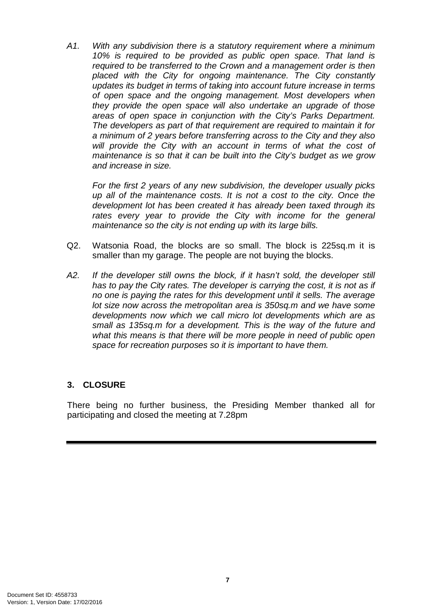*A1. With any subdivision there is a statutory requirement where a minimum 10% is required to be provided as public open space. That land is required to be transferred to the Crown and a management order is then placed with the City for ongoing maintenance. The City constantly updates its budget in terms of taking into account future increase in terms of open space and the ongoing management. Most developers when they provide the open space will also undertake an upgrade of those areas of open space in conjunction with the City's Parks Department. The developers as part of that requirement are required to maintain it for a minimum of 2 years before transferring across to the City and they also will provide the City with an account in terms of what the cost of maintenance is so that it can be built into the City's budget as we grow and increase in size.*

*For the first 2 years of any new subdivision, the developer usually picks up all of the maintenance costs. It is not a cost to the city. Once the development lot has been created it has already been taxed through its rates every year to provide the City with income for the general maintenance so the city is not ending up with its large bills.* 

- Q2. Watsonia Road, the blocks are so small. The block is 225sq.m it is smaller than my garage. The people are not buying the blocks.
- A2. If the developer still owns the block, if it hasn't sold, the developer still *has to pay the City rates. The developer is carrying the cost, it is not as if no one is paying the rates for this development until it sells. The average lot size now across the metropolitan area is 350sq.m and we have some developments now which we call micro lot developments which are as small as 135sq.m for a development. This is the way of the future and what this means is that there will be more people in need of public open space for recreation purposes so it is important to have them.*

## **3. CLOSURE**

There being no further business, the Presiding Member thanked all for participating and closed the meeting at 7.28pm